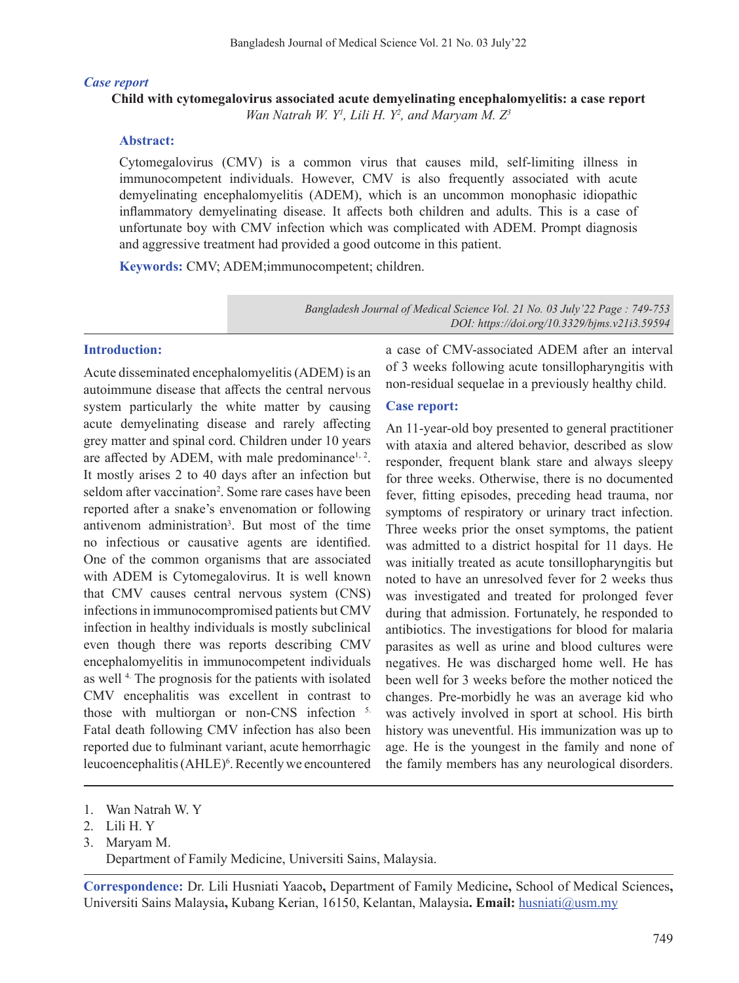#### *Case report*

## **Child with cytomegalovirus associated acute demyelinating encephalomyelitis: a case report** *Wan Natrah W. Y1 , Lili H. Y2 , and Maryam M. Z3*

#### **Abstract:**

Cytomegalovirus (CMV) is a common virus that causes mild, self-limiting illness in immunocompetent individuals. However, CMV is also frequently associated with acute demyelinating encephalomyelitis (ADEM), which is an uncommon monophasic idiopathic inflammatory demyelinating disease. It affects both children and adults. This is a case of unfortunate boy with CMV infection which was complicated with ADEM. Prompt diagnosis and aggressive treatment had provided a good outcome in this patient.

**Keywords:** CMV; ADEM;immunocompetent; children.

*Bangladesh Journal of Medical Science Vol. 21 No. 03 July'22 Page : 749-753 DOI: https://doi.org/10.3329/bjms.v21i3.59594*

#### **Introduction:**

Acute disseminated encephalomyelitis(ADEM) is an autoimmune disease that affects the central nervous system particularly the white matter by causing acute demyelinating disease and rarely affecting grey matter and spinal cord. Children under 10 years are affected by ADEM, with male predominance<sup>1, 2</sup>. It mostly arises 2 to 40 days after an infection but seldom after vaccination<sup>2</sup>. Some rare cases have been reported after a snake's envenomation or following antivenom administration<sup>3</sup>. But most of the time no infectious or causative agents are identified. One of the common organisms that are associated with ADEM is Cytomegalovirus. It is well known that CMV causes central nervous system (CNS) infections in immunocompromised patients but CMV infection in healthy individuals is mostly subclinical even though there was reports describing CMV encephalomyelitis in immunocompetent individuals as well<sup>4</sup>. The prognosis for the patients with isolated CMV encephalitis was excellent in contrast to those with multiorgan or non-CNS infection 5. Fatal death following CMV infection has also been reported due to fulminant variant, acute hemorrhagic leucoencephalitis (AHLE)<sup>6</sup>. Recently we encountered

a case of CMV-associated ADEM after an interval of 3 weeks following acute tonsillopharyngitis with non-residual sequelae in a previously healthy child.

## **Case report:**

An 11-year-old boy presented to general practitioner with ataxia and altered behavior, described as slow responder, frequent blank stare and always sleepy for three weeks. Otherwise, there is no documented fever, fitting episodes, preceding head trauma, nor symptoms of respiratory or urinary tract infection. Three weeks prior the onset symptoms, the patient was admitted to a district hospital for 11 days. He was initially treated as acute tonsillopharyngitis but noted to have an unresolved fever for 2 weeks thus was investigated and treated for prolonged fever during that admission. Fortunately, he responded to antibiotics. The investigations for blood for malaria parasites as well as urine and blood cultures were negatives. He was discharged home well. He has been well for 3 weeks before the mother noticed the changes. Pre-morbidly he was an average kid who was actively involved in sport at school. His birth history was uneventful. His immunization was up to age. He is the youngest in the family and none of the family members has any neurological disorders.

**Correspondence:** Dr. Lili Husniati Yaacob**,** Department of Family Medicine**,** School of Medical Sciences**,**  Universiti Sains Malaysia**,** Kubang Kerian, 16150, Kelantan, Malaysia**. Email:** husniati@usm.my

<sup>1.</sup> Wan Natrah W. Y

<sup>2.</sup> Lili H. Y

<sup>3.</sup>  Maryam M. Department of Family Medicine, Universiti Sains, Malaysia.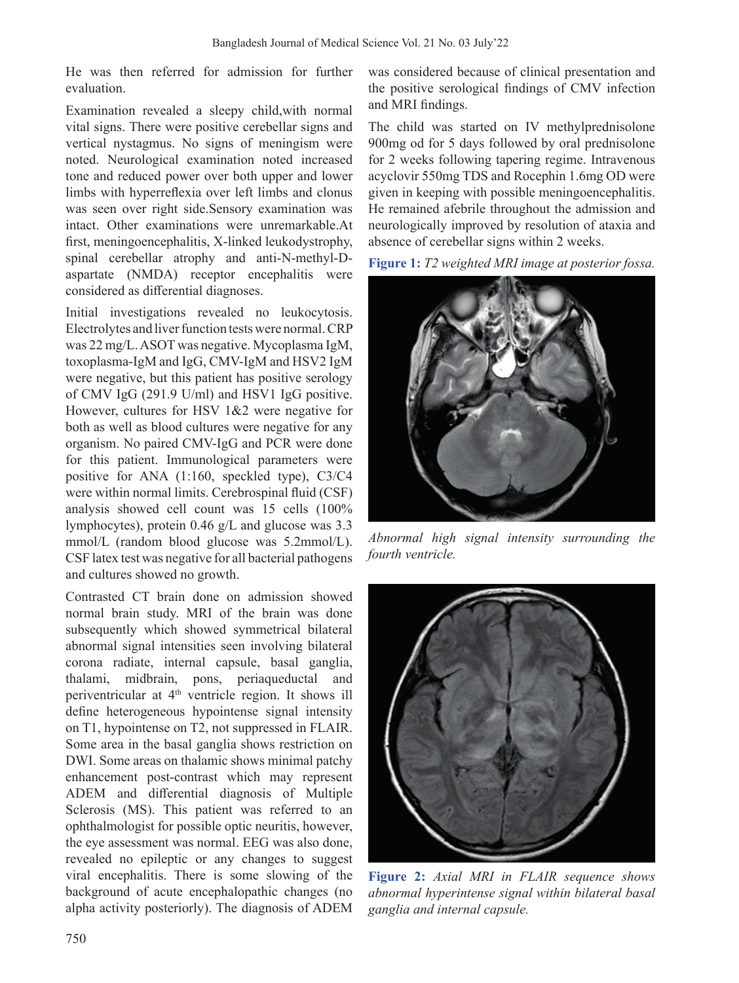He was then referred for admission for further evaluation.

Examination revealed a sleepy child,with normal vital signs. There were positive cerebellar signs and vertical nystagmus. No signs of meningism were noted. Neurological examination noted increased tone and reduced power over both upper and lower limbs with hyperreflexia over left limbs and clonus was seen over right side.Sensory examination was intact. Other examinations were unremarkable.At first, meningoencephalitis, X-linked leukodystrophy, spinal cerebellar atrophy and anti-N-methyl-Daspartate (NMDA) receptor encephalitis were considered as differential diagnoses.

Initial investigations revealed no leukocytosis. Electrolytes and liver function tests were normal. CRP was 22 mg/L. ASOT was negative. Mycoplasma IgM, toxoplasma-IgM and IgG, CMV-IgM and HSV2 IgM were negative, but this patient has positive serology of CMV IgG (291.9 U/ml) and HSV1 IgG positive. However, cultures for HSV 1&2 were negative for both as well as blood cultures were negative for any organism. No paired CMV-IgG and PCR were done for this patient. Immunological parameters were positive for ANA (1:160, speckled type), C3/C4 were within normal limits. Cerebrospinal fluid (CSF) analysis showed cell count was 15 cells (100% lymphocytes), protein 0.46 g/L and glucose was 3.3 mmol/L (random blood glucose was 5.2mmol/L). CSF latex test was negative for all bacterial pathogens and cultures showed no growth.

Contrasted CT brain done on admission showed normal brain study. MRI of the brain was done subsequently which showed symmetrical bilateral abnormal signal intensities seen involving bilateral corona radiate, internal capsule, basal ganglia, thalami, midbrain, pons, periaqueductal and periventricular at 4th ventricle region. It shows ill define heterogeneous hypointense signal intensity on T1, hypointense on T2, not suppressed in FLAIR. Some area in the basal ganglia shows restriction on DWI. Some areas on thalamic shows minimal patchy enhancement post-contrast which may represent ADEM and differential diagnosis of Multiple Sclerosis (MS). This patient was referred to an ophthalmologist for possible optic neuritis, however, the eye assessment was normal. EEG was also done, revealed no epileptic or any changes to suggest viral encephalitis. There is some slowing of the background of acute encephalopathic changes (no alpha activity posteriorly). The diagnosis of ADEM was considered because of clinical presentation and the positive serological findings of CMV infection and MRI findings.

The child was started on IV methylprednisolone 900mg od for 5 days followed by oral prednisolone for 2 weeks following tapering regime. Intravenous acyclovir 550mg TDS and Rocephin 1.6mg OD were given in keeping with possible meningoencephalitis. He remained afebrile throughout the admission and neurologically improved by resolution of ataxia and absence of cerebellar signs within 2 weeks.





*Abnormal high signal intensity surrounding the fourth ventricle.*



**Figure 2:** *Axial MRI in FLAIR sequence shows abnormal hyperintense signal within bilateral basal ganglia and internal capsule.*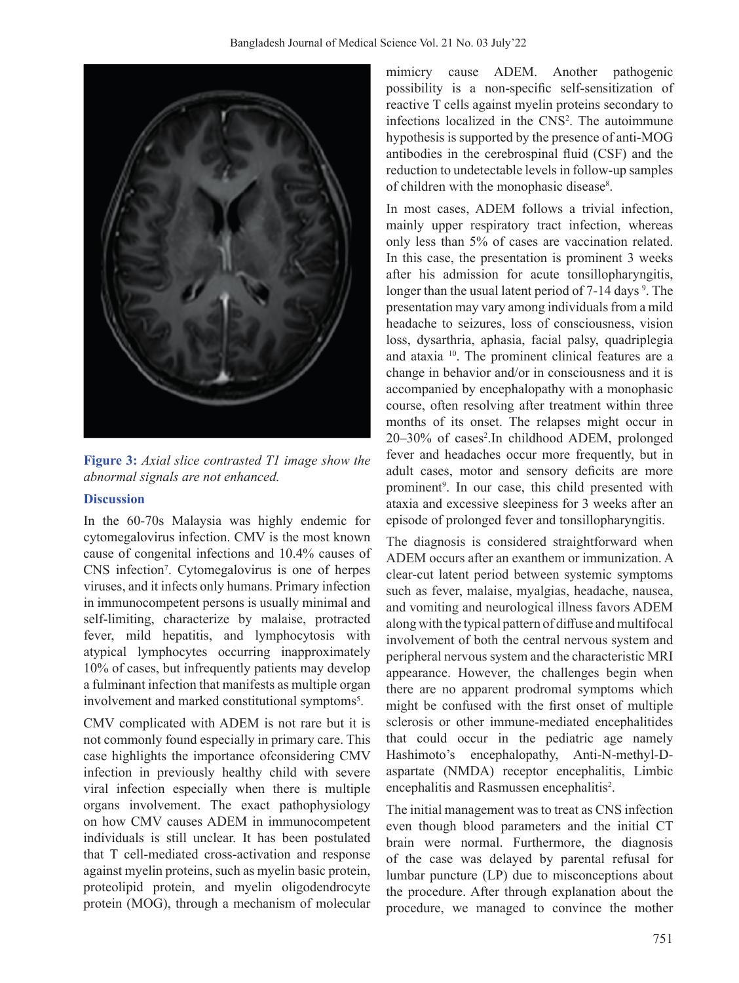

**Figure 3:** *Axial slice contrasted T1 image show the abnormal signals are not enhanced.*

## **Discussion**

In the 60-70s Malaysia was highly endemic for cytomegalovirus infection. CMV is the most known cause of congenital infections and 10.4% causes of CNS infection<sup>7</sup> . Cytomegalovirus is one of herpes viruses, and it infects only humans. Primary infection in immunocompetent persons is usually minimal and self-limiting, characterize by malaise, protracted fever, mild hepatitis, and lymphocytosis with atypical lymphocytes occurring inapproximately 10% of cases, but infrequently patients may develop a fulminant infection that manifests as multiple organ involvement and marked constitutional symptoms<sup>5</sup>.

CMV complicated with ADEM is not rare but it is not commonly found especially in primary care. This case highlights the importance ofconsidering CMV infection in previously healthy child with severe viral infection especially when there is multiple organs involvement. The exact pathophysiology on how CMV causes ADEM in immunocompetent individuals is still unclear. It has been postulated that T cell-mediated cross-activation and response against myelin proteins, such as myelin basic protein, proteolipid protein, and myelin oligodendrocyte protein (MOG), through a mechanism of molecular mimicry cause ADEM. Another pathogenic possibility is a non-specific self-sensitization of reactive T cells against myelin proteins secondary to infections localized in the CNS<sup>2</sup>. The autoimmune hypothesis is supported by the presence of anti-MOG antibodies in the cerebrospinal fluid (CSF) and the reduction to undetectable levels in follow-up samples of children with the monophasic disease<sup>8</sup>.

In most cases, ADEM follows a trivial infection, mainly upper respiratory tract infection, whereas only less than 5% of cases are vaccination related. In this case, the presentation is prominent 3 weeks after his admission for acute tonsillopharyngitis, longer than the usual latent period of 7-14 days<sup>9</sup>. The presentation may vary among individuals from a mild headache to seizures, loss of consciousness, vision loss, dysarthria, aphasia, facial palsy, quadriplegia and ataxia 10. The prominent clinical features are a change in behavior and/or in consciousness and it is accompanied by encephalopathy with a monophasic course, often resolving after treatment within three months of its onset. The relapses might occur in 20-30% of cases<sup>2</sup>.In childhood ADEM, prolonged fever and headaches occur more frequently, but in adult cases, motor and sensory deficits are more prominent<sup>9</sup>. In our case, this child presented with ataxia and excessive sleepiness for 3 weeks after an episode of prolonged fever and tonsillopharyngitis.

The diagnosis is considered straightforward when ADEM occurs after an exanthem or immunization. A clear-cut latent period between systemic symptoms such as fever, malaise, myalgias, headache, nausea, and vomiting and neurological illness favors ADEM along with the typical pattern of diffuse and multifocal involvement of both the central nervous system and peripheral nervous system and the characteristic MRI appearance. However, the challenges begin when there are no apparent prodromal symptoms which might be confused with the first onset of multiple sclerosis or other immune-mediated encephalitides that could occur in the pediatric age namely Hashimoto's encephalopathy, Anti-N-methyl-Daspartate (NMDA) receptor encephalitis, Limbic encephalitis and Rasmussen encephalitis<sup>2</sup>.

The initial management was to treat as CNS infection even though blood parameters and the initial CT brain were normal. Furthermore, the diagnosis of the case was delayed by parental refusal for lumbar puncture (LP) due to misconceptions about the procedure. After through explanation about the procedure, we managed to convince the mother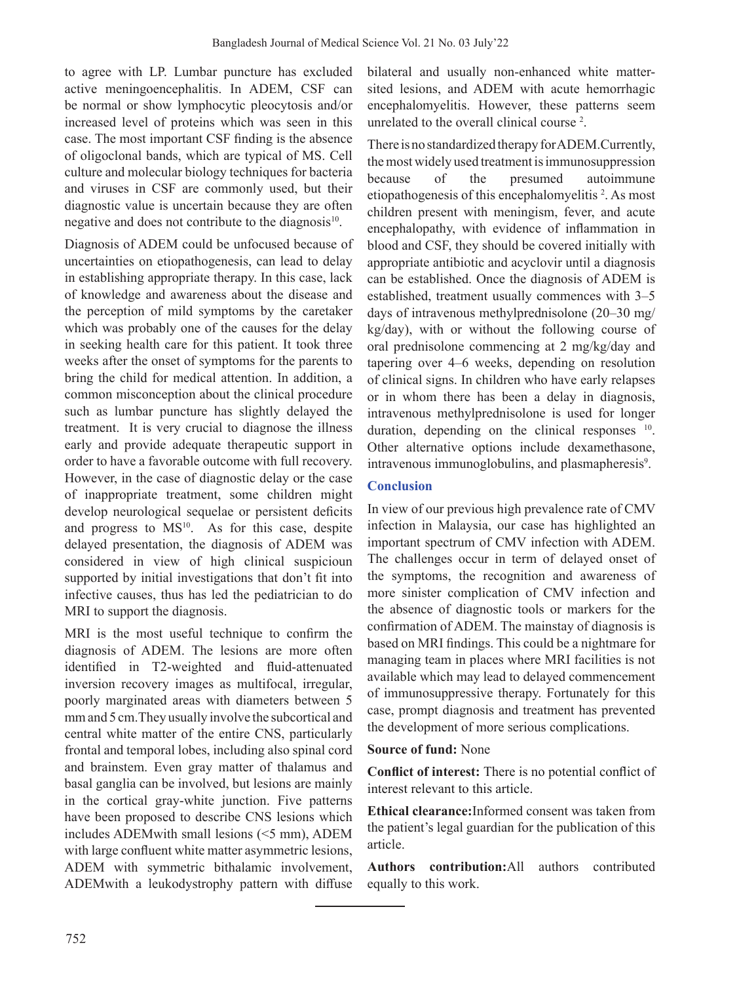to agree with LP. Lumbar puncture has excluded active meningoencephalitis. In ADEM, CSF can be normal or show lymphocytic pleocytosis and/or increased level of proteins which was seen in this case. The most important CSF finding is the absence of oligoclonal bands, which are typical of MS. Cell culture and molecular biology techniques for bacteria and viruses in CSF are commonly used, but their diagnostic value is uncertain because they are often negative and does not contribute to the diagnosis $10$ .

Diagnosis of ADEM could be unfocused because of uncertainties on etiopathogenesis, can lead to delay in establishing appropriate therapy. In this case, lack of knowledge and awareness about the disease and the perception of mild symptoms by the caretaker which was probably one of the causes for the delay in seeking health care for this patient. It took three weeks after the onset of symptoms for the parents to bring the child for medical attention. In addition, a common misconception about the clinical procedure such as lumbar puncture has slightly delayed the treatment. It is very crucial to diagnose the illness early and provide adequate therapeutic support in order to have a favorable outcome with full recovery. However, in the case of diagnostic delay or the case of inappropriate treatment, some children might develop neurological sequelae or persistent deficits and progress to  $MS<sup>10</sup>$ . As for this case, despite delayed presentation, the diagnosis of ADEM was considered in view of high clinical suspicioun supported by initial investigations that don't fit into infective causes, thus has led the pediatrician to do MRI to support the diagnosis.

MRI is the most useful technique to confirm the diagnosis of ADEM. The lesions are more often identified in T2-weighted and fluid-attenuated inversion recovery images as multifocal, irregular, poorly marginated areas with diameters between 5 mm and 5 cm.They usually involve the subcortical and central white matter of the entire CNS, particularly frontal and temporal lobes, including also spinal cord and brainstem. Even gray matter of thalamus and basal ganglia can be involved, but lesions are mainly in the cortical gray-white junction. Five patterns have been proposed to describe CNS lesions which includes ADEMwith small lesions (<5 mm), ADEM with large confluent white matter asymmetric lesions, ADEM with symmetric bithalamic involvement, ADEMwith a leukodystrophy pattern with diffuse bilateral and usually non-enhanced white mattersited lesions, and ADEM with acute hemorrhagic encephalomyelitis. However, these patterns seem unrelated to the overall clinical course<sup>2</sup>.

There is no standardized therapy for ADEM. Currently, the most widely used treatment is immunosuppression because of the presumed autoimmune etiopathogenesis of this encephalomyelitis<sup>2</sup>. As most children present with meningism, fever, and acute encephalopathy, with evidence of inflammation in blood and CSF, they should be covered initially with appropriate antibiotic and acyclovir until a diagnosis can be established. Once the diagnosis of ADEM is established, treatment usually commences with 3–5 days of intravenous methylprednisolone (20–30 mg/ kg/day), with or without the following course of oral prednisolone commencing at 2 mg/kg/day and tapering over 4–6 weeks, depending on resolution of clinical signs. In children who have early relapses or in whom there has been a delay in diagnosis, intravenous methylprednisolone is used for longer duration, depending on the clinical responses <sup>10</sup>. Other alternative options include dexamethasone, intravenous immunoglobulins, and plasmapheresis<sup>9</sup>.

# **Conclusion**

In view of our previous high prevalence rate of CMV infection in Malaysia, our case has highlighted an important spectrum of CMV infection with ADEM. The challenges occur in term of delayed onset of the symptoms, the recognition and awareness of more sinister complication of CMV infection and the absence of diagnostic tools or markers for the confirmation of ADEM. The mainstay of diagnosis is based on MRI findings. This could be a nightmare for managing team in places where MRI facilities is not available which may lead to delayed commencement of immunosuppressive therapy. Fortunately for this case, prompt diagnosis and treatment has prevented the development of more serious complications.

## **Source of fund:** None

**Conflict of interest:** There is no potential conflict of interest relevant to this article.

**Ethical clearance:**Informed consent was taken from the patient's legal guardian for the publication of this article.

**Authors contribution:**All authors contributed equally to this work.